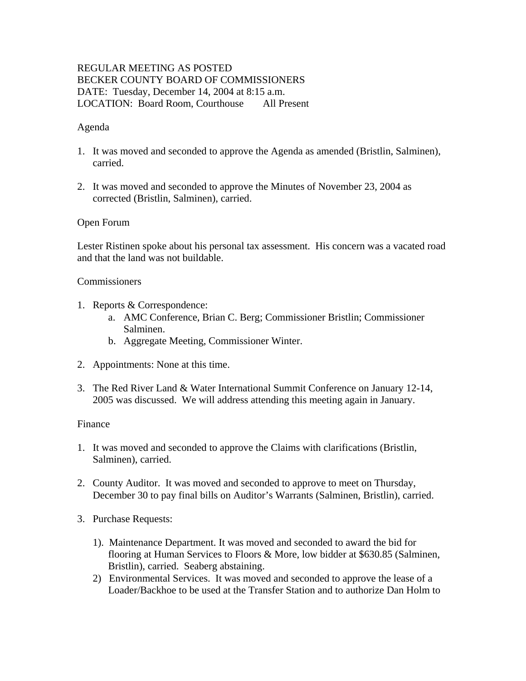# REGULAR MEETING AS POSTED BECKER COUNTY BOARD OF COMMISSIONERS DATE: Tuesday, December 14, 2004 at 8:15 a.m. LOCATION: Board Room, Courthouse All Present

## Agenda

- 1. It was moved and seconded to approve the Agenda as amended (Bristlin, Salminen), carried.
- 2. It was moved and seconded to approve the Minutes of November 23, 2004 as corrected (Bristlin, Salminen), carried.

## Open Forum

Lester Ristinen spoke about his personal tax assessment. His concern was a vacated road and that the land was not buildable.

### **Commissioners**

- 1. Reports & Correspondence:
	- a. AMC Conference, Brian C. Berg; Commissioner Bristlin; Commissioner Salminen.
	- b. Aggregate Meeting, Commissioner Winter.
- 2. Appointments: None at this time.
- 3. The Red River Land & Water International Summit Conference on January 12-14, 2005 was discussed. We will address attending this meeting again in January.

### Finance

- 1. It was moved and seconded to approve the Claims with clarifications (Bristlin, Salminen), carried.
- 2. County Auditor. It was moved and seconded to approve to meet on Thursday, December 30 to pay final bills on Auditor's Warrants (Salminen, Bristlin), carried.
- 3. Purchase Requests:
	- 1). Maintenance Department. It was moved and seconded to award the bid for flooring at Human Services to Floors & More, low bidder at \$630.85 (Salminen, Bristlin), carried. Seaberg abstaining.
	- 2) Environmental Services. It was moved and seconded to approve the lease of a Loader/Backhoe to be used at the Transfer Station and to authorize Dan Holm to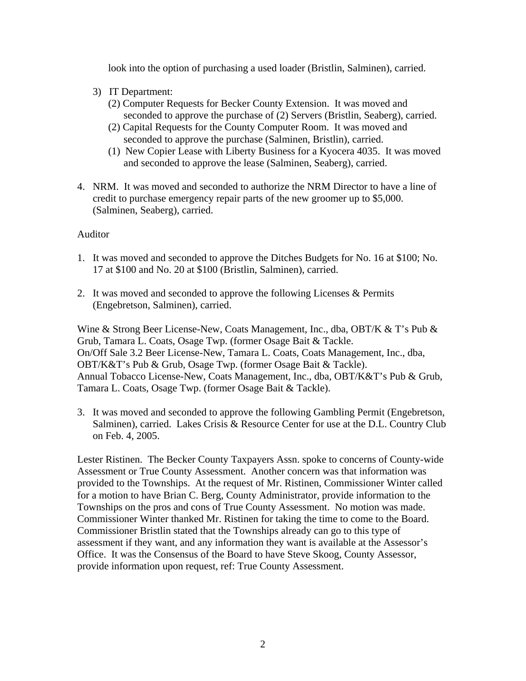look into the option of purchasing a used loader (Bristlin, Salminen), carried.

- 3) IT Department:
	- (2) Computer Requests for Becker County Extension. It was moved and seconded to approve the purchase of (2) Servers (Bristlin, Seaberg), carried.
	- (2) Capital Requests for the County Computer Room. It was moved and seconded to approve the purchase (Salminen, Bristlin), carried.
	- (1) New Copier Lease with Liberty Business for a Kyocera 4035. It was moved and seconded to approve the lease (Salminen, Seaberg), carried.
- 4. NRM. It was moved and seconded to authorize the NRM Director to have a line of credit to purchase emergency repair parts of the new groomer up to \$5,000. (Salminen, Seaberg), carried.

## Auditor

- 1. It was moved and seconded to approve the Ditches Budgets for No. 16 at \$100; No. 17 at \$100 and No. 20 at \$100 (Bristlin, Salminen), carried.
- 2. It was moved and seconded to approve the following Licenses & Permits (Engebretson, Salminen), carried.

Wine & Strong Beer License-New, Coats Management, Inc., dba, OBT/K & T's Pub & Grub, Tamara L. Coats, Osage Twp. (former Osage Bait & Tackle. On/Off Sale 3.2 Beer License-New, Tamara L. Coats, Coats Management, Inc., dba, OBT/K&T's Pub & Grub, Osage Twp. (former Osage Bait & Tackle). Annual Tobacco License-New, Coats Management, Inc., dba, OBT/K&T's Pub & Grub, Tamara L. Coats, Osage Twp. (former Osage Bait & Tackle).

3. It was moved and seconded to approve the following Gambling Permit (Engebretson, Salminen), carried. Lakes Crisis & Resource Center for use at the D.L. Country Club on Feb. 4, 2005.

Lester Ristinen. The Becker County Taxpayers Assn. spoke to concerns of County-wide Assessment or True County Assessment. Another concern was that information was provided to the Townships. At the request of Mr. Ristinen, Commissioner Winter called for a motion to have Brian C. Berg, County Administrator, provide information to the Townships on the pros and cons of True County Assessment. No motion was made. Commissioner Winter thanked Mr. Ristinen for taking the time to come to the Board. Commissioner Bristlin stated that the Townships already can go to this type of assessment if they want, and any information they want is available at the Assessor's Office. It was the Consensus of the Board to have Steve Skoog, County Assessor, provide information upon request, ref: True County Assessment.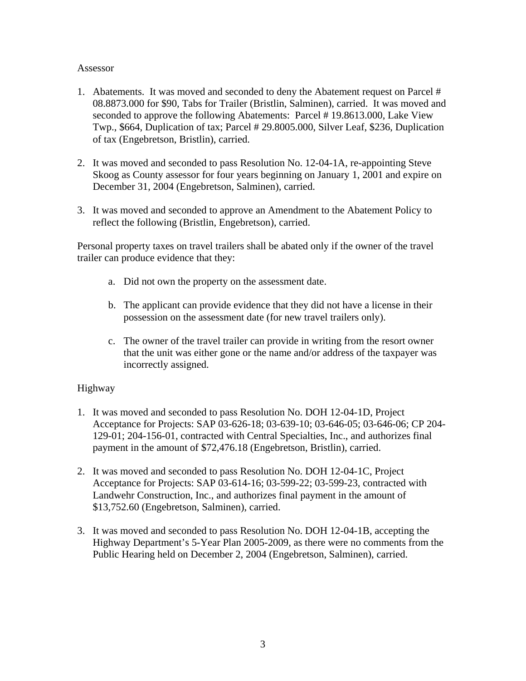#### Assessor

- 1. Abatements. It was moved and seconded to deny the Abatement request on Parcel # 08.8873.000 for \$90, Tabs for Trailer (Bristlin, Salminen), carried. It was moved and seconded to approve the following Abatements: Parcel # 19.8613.000, Lake View Twp., \$664, Duplication of tax; Parcel # 29.8005.000, Silver Leaf, \$236, Duplication of tax (Engebretson, Bristlin), carried.
- 2. It was moved and seconded to pass Resolution No. 12-04-1A, re-appointing Steve Skoog as County assessor for four years beginning on January 1, 2001 and expire on December 31, 2004 (Engebretson, Salminen), carried.
- 3. It was moved and seconded to approve an Amendment to the Abatement Policy to reflect the following (Bristlin, Engebretson), carried.

Personal property taxes on travel trailers shall be abated only if the owner of the travel trailer can produce evidence that they:

- a. Did not own the property on the assessment date.
- b. The applicant can provide evidence that they did not have a license in their possession on the assessment date (for new travel trailers only).
- c. The owner of the travel trailer can provide in writing from the resort owner that the unit was either gone or the name and/or address of the taxpayer was incorrectly assigned.

### Highway

- 1. It was moved and seconded to pass Resolution No. DOH 12-04-1D, Project Acceptance for Projects: SAP 03-626-18; 03-639-10; 03-646-05; 03-646-06; CP 204- 129-01; 204-156-01, contracted with Central Specialties, Inc., and authorizes final payment in the amount of \$72,476.18 (Engebretson, Bristlin), carried.
- 2. It was moved and seconded to pass Resolution No. DOH 12-04-1C, Project Acceptance for Projects: SAP 03-614-16; 03-599-22; 03-599-23, contracted with Landwehr Construction, Inc., and authorizes final payment in the amount of \$13,752.60 (Engebretson, Salminen), carried.
- 3. It was moved and seconded to pass Resolution No. DOH 12-04-1B, accepting the Highway Department's 5-Year Plan 2005-2009, as there were no comments from the Public Hearing held on December 2, 2004 (Engebretson, Salminen), carried.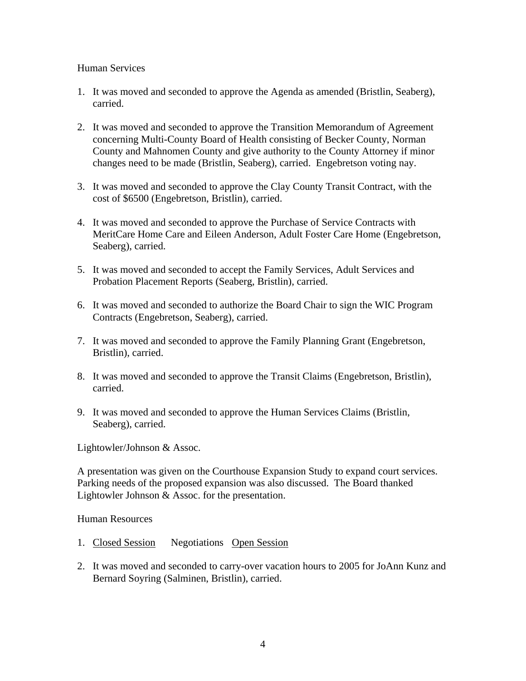## Human Services

- 1. It was moved and seconded to approve the Agenda as amended (Bristlin, Seaberg), carried.
- 2. It was moved and seconded to approve the Transition Memorandum of Agreement concerning Multi-County Board of Health consisting of Becker County, Norman County and Mahnomen County and give authority to the County Attorney if minor changes need to be made (Bristlin, Seaberg), carried. Engebretson voting nay.
- 3. It was moved and seconded to approve the Clay County Transit Contract, with the cost of \$6500 (Engebretson, Bristlin), carried.
- 4. It was moved and seconded to approve the Purchase of Service Contracts with MeritCare Home Care and Eileen Anderson, Adult Foster Care Home (Engebretson, Seaberg), carried.
- 5. It was moved and seconded to accept the Family Services, Adult Services and Probation Placement Reports (Seaberg, Bristlin), carried.
- 6. It was moved and seconded to authorize the Board Chair to sign the WIC Program Contracts (Engebretson, Seaberg), carried.
- 7. It was moved and seconded to approve the Family Planning Grant (Engebretson, Bristlin), carried.
- 8. It was moved and seconded to approve the Transit Claims (Engebretson, Bristlin), carried.
- 9. It was moved and seconded to approve the Human Services Claims (Bristlin, Seaberg), carried.

Lightowler/Johnson & Assoc.

A presentation was given on the Courthouse Expansion Study to expand court services. Parking needs of the proposed expansion was also discussed. The Board thanked Lightowler Johnson & Assoc. for the presentation.

Human Resources

- 1. Closed Session Negotiations Open Session
- 2. It was moved and seconded to carry-over vacation hours to 2005 for JoAnn Kunz and Bernard Soyring (Salminen, Bristlin), carried.